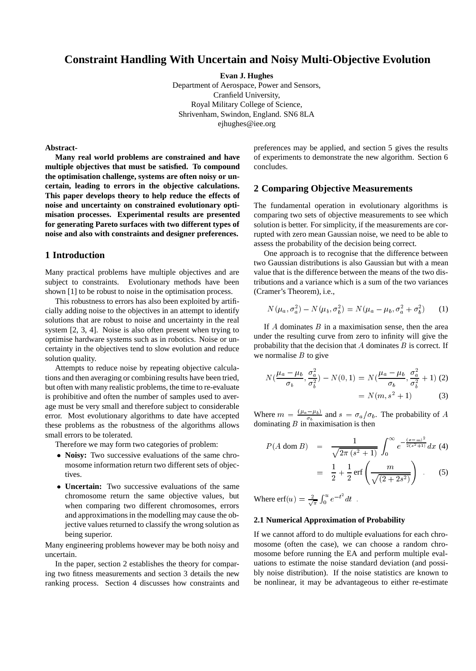# **Constraint Handling With Uncertain and Noisy Multi-Objective Evolution**

**Evan J. Hughes**

Department of Aerospace, Power and Sensors, Cranfield University, Royal Military College of Science, Shrivenham, Swindon, England. SN6 8LA ejhughes@iee.org

**Abstract-**

**Many real world problems are constrained and have multiple objectives that must be satisfied. To compound the optimisation challenge, systems are often noisy or uncertain, leading to errors in the objective calculations. This paper develops theory to help reduce the effects of noise and uncertainty on constrained evolutionary optimisation processes. Experimental results are presented for generating Pareto surfaces with two different types of noise and also with constraints and designer preferences.**

# **1 Introduction**

Many practical problems have multiple objectives and are subject to constraints. Evolutionary methods have been shown [1] to be robust to noise in the optimisation process.

This robustness to errors has also been exploited by artificially adding noise to the objectives in an attempt to identify solutions that are robust to noise and uncertainty in the real system [2, 3, 4]. Noise is also often present when trying to optimise hardware systems such as in robotics. Noise or uncertainty in the objectives tend to slow evolution and reduce solution quality.

Attempts to reduce noise by repeating objective calculations and then averaging or combining results have been tried, but often with many realistic problems, the time to re-evaluate is prohibitive and often the number of samples used to average must be very small and therefore subject to considerable error. Most evolutionary algorithms to date have accepted these problems as the robustness of the algorithms allows small errors to be tolerated.

Therefore we may form two categories of problem:

- **Noisy:** Two successive evaluations of the same chromosome information return two different sets of objectives.
- **Uncertain:** Two successive evaluations of the same chromosome return the same objective values, but when comparing two different chromosomes, errors and approximations in the modelling may cause the objective values returned to classify the wrong solution as being superior.

Many engineering problems however may be both noisy and uncertain.

In the paper, section 2 establishes the theory for comparing two fitness measurements and section 3 details the new ranking process. Section 4 discusses how constraints and preferences may be applied, and section 5 gives the results of experiments to demonstrate the new algorithm. Section 6 concludes.

# **2 Comparing Objective Measurements**

The fundamental operation in evolutionary algorithms is comparing two sets of objective measurements to see which solution is better. For simplicity, if the measurements are corrupted with zero mean Gaussian noise, we need to be able to assess the probability of the decision being correct.

One approach is to recognise that the difference between two Gaussian distributions is also Gaussian but with a mean value that is the difference between the means of the two distributions and a variance which is a sum of the two variances (Cramer's Theorem), i.e.,

$$
N(\mu_a, \sigma_a^2) - N(\mu_b, \sigma_b^2) = N(\mu_a - \mu_b, \sigma_a^2 + \sigma_b^2)
$$
 (1)

If  $A$  dominates  $B$  in a maximisation sense, then the area under the resulting curve from zero to infinity will give the probability that the decision that  $A$  dominates  $B$  is correct. If we normalise  $B$  to give

$$
N\left(\frac{\mu_a - \mu_b}{\sigma_b}, \frac{\sigma_a^2}{\sigma_b^2}\right) - N(0, 1) = N\left(\frac{\mu_a - \mu_b}{\sigma_b}, \frac{\sigma_a^2}{\sigma_b^2} + 1\right) (2)
$$
  
=  $N(m, s^2 + 1)$  (3)

Where  $m = \frac{(\mu_a - \mu_b)}{\sigma_b}$  and  $s = \frac{\sigma_a}{\sigma_b}$ . The probability of A dominating  $B$  in maximisation is then

$$
P(A \text{ dom } B) = \frac{1}{\sqrt{2\pi (s^2 + 1)}} \int_0^\infty e^{-\frac{(x - m)^2}{2(s^2 + 1)}} dx \text{ (4)}
$$

$$
= \frac{1}{2} + \frac{1}{2} \text{erf}\left(\frac{m}{\sqrt{(2 + 2s^2)}}\right) . \quad (5)
$$

Where  $\mathrm{erf}(u) = \frac{2}{\sqrt{\pi}} \int_0^u e^{-t^2} dt$ .

#### **2.1 Numerical Approximation of Probability**

If we cannot afford to do multiple evaluations for each chromosome (often the case), we can choose a random chromosome before running the EA and perform multiple evaluations to estimate the noise standard deviation (and possibly noise distribution). If the noise statistics are known to be nonlinear, it may be advantageous to either re-estimate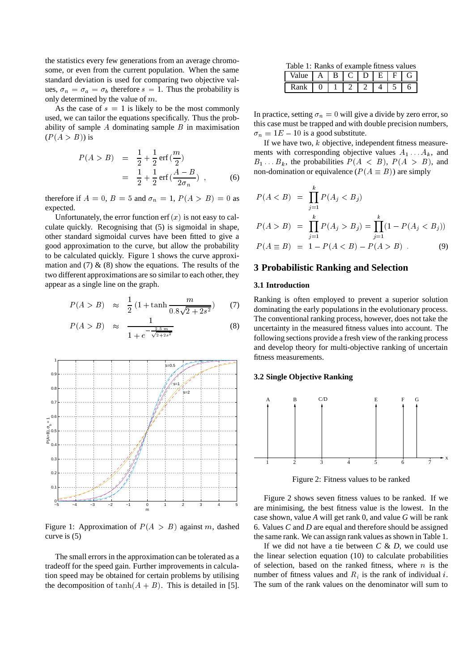the statistics every few generations from an average chromosome, or even from the current population. When the same standard deviation is used for comparing two objective values,  $\sigma_n = \sigma_a = \sigma_b$  therefore  $s = 1$ . Thus the probability is only determined by the value of m.

As the case of  $s = 1$  is likely to be the most commonly used, we can tailor the equations specifically. Thus the probability of sample  $A$  dominating sample  $B$  in maximisation  $(P(A > B))$  is

$$
P(A > B) = \frac{1}{2} + \frac{1}{2} \operatorname{erf}(\frac{m}{2})
$$
  
=  $\frac{1}{2} + \frac{1}{2} \operatorname{erf}(\frac{A - B}{2\sigma_n})$ , (6)

therefore if  $A = 0$ ,  $B = 5$  and  $\sigma_n = 1$ ,  $P(A > B) = 0$  as expected.

Unfortunately, the error function  $erf(x)$  is not easy to calculate quickly. Recognising that (5) is sigmoidal in shape, other standard sigmoidal curves have been fitted to give a good approximation to the curve, but allow the probability to be calculated quickly. Figure 1 shows the curve approximation and  $(7)$  &  $(8)$  show the equations. The results of the two different approximations are so similar to each other, they appear as a single line on the graph.

$$
P(A > B) \approx \frac{1}{2} (1 + \tanh \frac{m}{0.8\sqrt{2 + 2s^2}})
$$
 (7)

$$
P(A > B) \approx \frac{1}{1 + e^{-\frac{2.5 m}{\sqrt{2 + 2s^2}}}}
$$
(8)



Figure 1: Approximation of  $P(A > B)$  against m, dashed curve is (5)

The small errors in the approximation can be tolerated as a tradeoff for the speed gain. Further improvements in calculation speed may be obtained for certain problems by utilising the decomposition of  $tanh(A + B)$ . This is detailed in [5].

| Table 1: Ranks of example fitness values            |  |  |  |  |  |  |  |
|-----------------------------------------------------|--|--|--|--|--|--|--|
| Value $A \mid B \mid C \mid D \mid E \mid F \mid G$ |  |  |  |  |  |  |  |
| Rank 0 1 2 2 4 5 6                                  |  |  |  |  |  |  |  |

In practice, setting  $\sigma_n = 0$  will give a divide by zero error, so this case must be trapped and with double precision numbers,  $\sigma_n = 1E - 10$  is a good substitute.

If we have two,  $k$  objective, independent fitness measurements with corresponding objective values  $A_1 \ldots A_k$ , and  $B_1 \ldots B_k$ , the probabilities  $P(A \leq B)$ ,  $P(A > B)$ , and non-domination or equivalence  $(P(A \equiv B))$  are simply

$$
P(A < B) = \prod_{j=1}^{k} P(A_j < B_j)
$$
\n
$$
P(A > B) = \prod_{j=1}^{k} P(A_j > B_j) = \prod_{j=1}^{k} (1 - P(A_j < B_j))
$$
\n
$$
P(A \equiv B) = 1 - P(A < B) - P(A > B) \tag{9}
$$

## **3 Probabilistic Ranking and Selection**

#### **3.1 Introduction**

Ranking is often employed to prevent a superior solution dominating the early populations in the evolutionary process. The conventional ranking process, however, does not take the uncertainty in the measured fitness values into account. The following sections provide a fresh view of the ranking process and develop theory for multi-objective ranking of uncertain fitness measurements.

## **3.2 Single Objective Ranking**



Figure 2: Fitness values to be ranked

Figure 2 shows seven fitness values to be ranked. If we are minimising, the best fitness value is the lowest. In the case shown, value *A* will get rank 0, and value *G* will be rank 6. Values *C* and *D* are equal and therefore should be assigned the same rank. We can assign rank values as shown in Table 1.

If we did not have a tie between *C* & *D*, we could use the linear selection equation (10) to calculate probabilities of selection, based on the ranked fitness, where  $n$  is the number of fitness values and  $R_i$  is the rank of individual i. The sum of the rank values on the denominator will sum to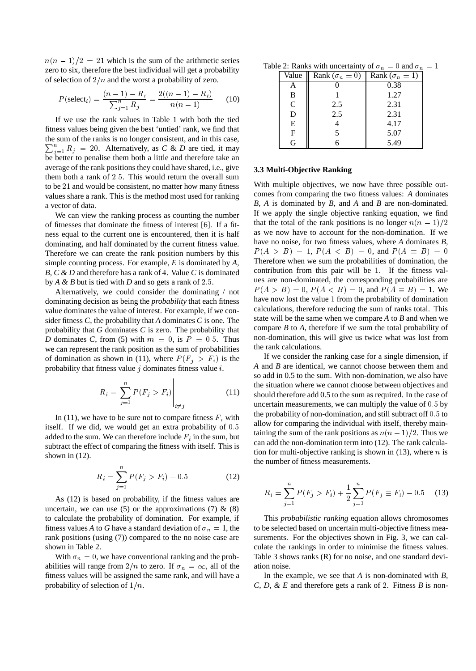$n(n-1)/2 = 21$  which is the sum of the arithmetic series zero to six, therefore the best individual will get a probability of selection of  $2/n$  and the worst a probability of zero.

$$
P(\text{select}_i) = \frac{(n-1) - R_i}{\sum_{j=1}^n R_j} = \frac{2((n-1) - R_i)}{n(n-1)} \tag{10}
$$

If we use the rank values in Table 1 with both the tied fitness values being given the best 'untied' rank, we find that  $\sum_{i=1}^{n} R_i = 20$ . Alternatively, as *C* & *D* are tied, it may the sum of the ranks is no longer consistent, and in this case, be better to penalise them both a little and therefore take an average of the rank positions they could have shared, i.e., give them both a rank of 2:5. This would return the overall sum to be <sup>21</sup> and would be consistent, no matter how many fitness values share a rank. This is the method most used for ranking a vector of data.

We can view the ranking process as counting the number of fitnesses that dominate the fitness of interest [6]. If a fitness equal to the current one is encountered, then it is half dominating, and half dominated by the current fitness value. Therefore we can create the rank position numbers by this simple counting process. For example, *E* is dominated by *A, B, C & D* and therefore has a rank of <sup>4</sup>. Value *C* is dominated by *A&B* but is tied with *D* and so gets a rank of 2:5.

Alternatively, we could consider the dominating / not dominating decision as being the *probability* that each fitness value dominates the value of interest. For example, if we consider fitness *C*, the probability that *A* dominates *C* is one. The probability that *G* dominates *C* is zero. The probability that *D* dominates *C*, from (5) with  $m = 0$ , is  $P = 0.5$ . Thus we can represent the rank position as the sum of probabilities of domination as shown in (11), where  $P(F_j > F_i)$  is the probability that fitness value  $j$  dominates fitness value  $i$ .

$$
R_i = \sum_{j=1}^{n} P(F_j > F_i) \Big|_{i \neq j}
$$
 (11)

the contract of the contract of the contract of the contract of the contract of

In (11), we have to be sure not to compare fitness  $F_i$  with itself. If we did, we would get an extra probability of 0:5 added to the sum. We can therefore include  $F_i$  in the sum, but subtract the effect of comparing the fitness with itself. This is shown in (12).

$$
R_i = \sum_{j=1}^{n} P(F_j > F_i) - 0.5
$$
 (12)

As (12) is based on probability, if the fitness values are uncertain, we can use (5) or the approximations (7)  $\&$  (8) to calculate the probability of domination. For example, if fitness values *A* to *G* have a standard deviation of  $\sigma_n = 1$ , the rank positions (using (7)) compared to the no noise case are shown in Table 2.

With  $\sigma_n = 0$ , we have conventional ranking and the probabilities will range from  $2/n$  to zero. If  $\sigma_n = \infty$ , all of the fitness values will be assigned the same rank, and will have a probability of selection of  $1/n$ .

Table 2: Ranks with uncertainty of  $\sigma_n = 0$  and  $\sigma_n = 1$ 

| Value          | Rank ( $\sigma_n = 0$ ) | Rank ( $\sigma_n = 1$ ) |
|----------------|-------------------------|-------------------------|
| А              |                         | 0.38                    |
| B              |                         | 1.27                    |
| $\overline{C}$ | 2.5                     | 2.31                    |
| D              | 2.5                     | 2.31                    |
| E              |                         | 4.17                    |
| $\overline{F}$ |                         | 5.07                    |
| G              |                         | 5.49                    |

## **3.3 Multi-Objective Ranking**

With multiple objectives, we now have three possible outcomes from comparing the two fitness values: *A* dominates *B*, *A* is dominated by *B*, and *A* and *B* are non-dominated. If we apply the single objective ranking equation, we find that the total of the rank positions is no longer  $n(n-1)/2$ as we now have to account for the non-domination. If we have no noise, for two fitness values, where *A* dominates *B*,  $P(A > B) = 1, P(A < B) = 0, \text{ and } P(A \equiv B) = 0$ Therefore when we sum the probabilities of domination, the contribution from this pair will be <sup>1</sup>. If the fitness values are non-dominated, the corresponding probabilities are  $P(A > B) = 0$ ,  $P(A < B) = 0$ , and  $P(A \equiv B) = 1$ . We have now lost the value <sup>1</sup> from the probability of domination calculations, therefore reducing the sum of ranks total. This state will be the same when we compare *A* to *B* and when we compare *B* to *A*, therefore if we sum the total probability of non-domination, this will give us twice what was lost from the rank calculations.

If we consider the ranking case for a single dimension, if *A* and *B* are identical, we cannot choose between them and so add in 0.5 to the sum. With non-domination, we also have the situation where we cannot choose between objectives and should therefore add 0.5 to the sum as required. In the case of uncertain measurements, we can multiply the value of  $0.5$  by the probability of non-domination, and still subtract off  $0.5$  to allow for comparing the individual with itself, thereby maintaining the sum of the rank positions as  $n(n-1)/2$ . Thus we can add the non-domination term into (12). The rank calculation for multi-objective ranking is shown in  $(13)$ , where *n* is the number of fitness measurements.

$$
R_i = \sum_{j=1}^{n} P(F_j > F_i) + \frac{1}{2} \sum_{j=1}^{n} P(F_j \equiv F_i) - 0.5 \quad (13)
$$

This *probabilistic ranking* equation allows chromosomes to be selected based on uncertain multi-objective fitness measurements. For the objectives shown in Fig. 3, we can calculate the rankings in order to minimise the fitness values. Table 3 shows ranks (R) for no noise, and one standard deviation noise.

In the example, we see that *A* is non-dominated with *B, C, D, & E* and therefore gets a rank of <sup>2</sup>. Fitness *B* is non-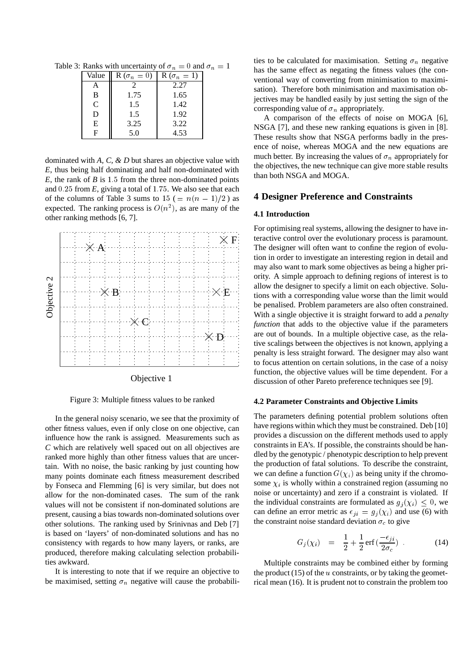Table 3: Ranks with uncertainty of  $\sigma_n = 0$  and  $\sigma_n = 1$ 

| Value          | $R(\sigma_n=0)$ | $R(\sigma_n=1)$ |  |
|----------------|-----------------|-----------------|--|
| A              |                 | 2.27            |  |
| B              | 1.75            | 1.65            |  |
| $\overline{C}$ | 1.5             | 1.42            |  |
| D              | 1.5             | 1.92            |  |
| E              | 3.25            | 3.22            |  |
| F              | 5.0             | 4.53            |  |

dominated with *A, C, & D* but shares an objective value with *E*, thus being half dominating and half non-dominated with *E*, the rank of *B* is 1.5 from the three non-dominated points and 0:25 from *E*, giving a total of 1:75. We also see that each of the columns of Table 3 sums to 15 ( $= n(n-1)/2$ ) as expected. The ranking process is  $O(n^2)$ , as are many of the other ranking methods [6, 7].



Figure 3: Multiple fitness values to be ranked

In the general noisy scenario, we see that the proximity of other fitness values, even if only close on one objective, can influence how the rank is assigned. Measurements such as *C* which are relatively well spaced out on all objectives are ranked more highly than other fitness values that are uncertain. With no noise, the basic ranking by just counting how many points dominate each fitness measurement described by Fonseca and Flemming [6] is very similar, but does not allow for the non-dominated cases. The sum of the rank values will not be consistent if non-dominated solutions are present, causing a bias towards non-dominated solutions over other solutions. The ranking used by Srinivnas and Deb [7] is based on 'layers' of non-dominated solutions and has no consistency with regards to how many layers, or ranks, are produced, therefore making calculating selection probabilities awkward.

It is interesting to note that if we require an objective to be maximised, setting  $\sigma_n$  negative will cause the probabilities to be calculated for maximisation. Setting  $\sigma_n$  negative has the same effect as negating the fitness values (the conventional way of converting from minimisation to maximisation). Therefore both minimisation and maximisation objectives may be handled easily by just setting the sign of the corresponding value of  $\sigma_n$  appropriately.

A comparison of the effects of noise on MOGA [6], NSGA [7], and these new ranking equations is given in [8]. These results show that NSGA performs badly in the presence of noise, whereas MOGA and the new equations are much better. By increasing the values of  $\sigma_n$  appropriately for the objectives, the new technique can give more stable results than both NSGA and MOGA.

## **4 Designer Preference and Constraints**

#### **4.1 Introduction**

For optimising real systems, allowing the designer to have interactive control over the evolutionary process is paramount. The designer will often want to confine the region of evolution in order to investigate an interesting region in detail and may also want to mark some objectives as being a higher priority. A simple approach to defining regions of interest is to allow the designer to specify a limit on each objective. Solutions with a corresponding value worse than the limit would be penalised. Problem parameters are also often constrained. With a single objective it is straight forward to add a *penalty function* that adds to the objective value if the parameters are out of bounds. In a multiple objective case, as the relative scalings between the objectives is not known, applying a penalty is less straight forward. The designer may also want to focus attention on certain solutions, in the case of a noisy function, the objective values will be time dependent. For a discussion of other Pareto preference techniques see [9].

#### **4.2 Parameter Constraints and Objective Limits**

The parameters defining potential problem solutions often have regions within which they must be constrained. Deb [10] provides a discussion on the different methods used to apply constraints in EA's. If possible, the constraints should be handled by the genotypic / phenotypic description to help prevent the production of fatal solutions. To describe the constraint, we can define a function  $G(\chi_i)$  as being unity if the chromosome  $\chi_i$  is wholly within a constrained region (assuming no noise or uncertainty) and zero if a constraint is violated. If the individual constraints are formulated as  $g_i(\chi_i) < 0$ , we can define an error metric as  $\epsilon_{ji} = g_j (\chi_i)$  and use (6) with the constraint noise standard deviation  $\sigma_c$  to give

$$
G_j(\chi_i) = \frac{1}{2} + \frac{1}{2} \operatorname{erf} \left( \frac{-\epsilon_{ji}}{2\sigma_c} \right) . \tag{14}
$$

Multiple constraints may be combined either by forming the product  $(15)$  of the *u* constraints, or by taking the geometrical mean (16). It is prudent not to constrain the problem too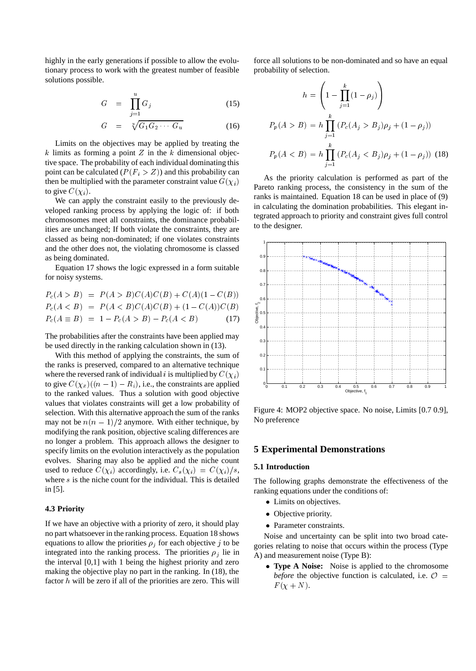highly in the early generations if possible to allow the evolutionary process to work with the greatest number of feasible solutions possible.

$$
G = \prod_{j=1}^{u} G_j \tag{15}
$$

$$
G = \sqrt[u]{G_1 G_2 \cdots G_u} \tag{16}
$$

Limits on the objectives may be applied by treating the  $k$  limits as forming a point  $Z$  in the  $k$  dimensional objective space. The probability of each individual dominating this point can be calculated  $(P(F_i > Z))$  and this probability can then be multiplied with the parameter constraint value  $G(\chi_i)$ to give  $C(\chi_i)$ .

We can apply the constraint easily to the previously developed ranking process by applying the logic of: if both chromosomes meet all constraints, the dominance probabilities are unchanged; If both violate the constraints, they are classed as being non-dominated; if one violates constraints and the other does not, the violating chromosome is classed as being dominated.

Equation 17 shows the logic expressed in a form suitable for noisy systems.

$$
P_c(A > B) = P(A > B)C(A)C(B) + C(A)(1 - C(B))
$$
  
\n
$$
P_c(A < B) = P(A < B)C(A)C(B) + (1 - C(A))C(B)
$$
  
\n
$$
P_c(A \equiv B) = 1 - P_c(A > B) - P_c(A < B)
$$
 (17)

The probabilities after the constraints have been applied may be used directly in the ranking calculation shown in (13).

With this method of applying the constraints, the sum of the ranks is preserved, compared to an alternative technique where the reversed rank of individual i is multiplied by  $C(\chi_i)$ to give  $C(\chi_x)((n-1) - R_i)$ , i.e., the constraints are applied to the ranked values. Thus a solution with good objective values that violates constraints will get a low probability of selection. With this alternative approach the sum of the ranks may not be  $n(n-1)/2$  anymore. With either technique, by modifying the rank position, objective scaling differences are no longer a problem. This approach allows the designer to specify limits on the evolution interactively as the population evolves. Sharing may also be applied and the niche count used to reduce  $C(\chi_i)$  accordingly, i.e.  $C_s(\chi_i) = C(\chi_i)/s$ , where  $s$  is the niche count for the individual. This is detailed in [5].

## **4.3 Priority**

If we have an objective with a priority of zero, it should play no part whatsoever in the ranking process. Equation 18 shows equations to allow the priorities  $\rho_i$  for each objective j to be integrated into the ranking process. The priorities  $\rho_i$  lie in the interval [0,1] with 1 being the highest priority and zero making the objective play no part in the ranking. In (18), the factor  $h$  will be zero if all of the priorities are zero. This will force all solutions to be non-dominated and so have an equal probability of selection.

$$
h = \left(1 - \prod_{j=1}^{k} (1 - \rho_j)\right)
$$
  

$$
P_p(A > B) = h \prod_{j=1}^{k} (P_c(A_j > B_j)\rho_j + (1 - \rho_j))
$$
  

$$
P_p(A < B) = h \prod_{j=1}^{k} (P_c(A_j < B_j)\rho_j + (1 - \rho_j))
$$
(18)

As the priority calculation is performed as part of the Pareto ranking process, the consistency in the sum of the ranks is maintained. Equation 18 can be used in place of (9) in calculating the domination probabilities. This elegant integrated approach to priority and constraint gives full control to the designer.



Figure 4: MOP2 objective space. No noise, Limits [0.7 0.9], No preference

### **5 Experimental Demonstrations**

#### **5.1 Introduction**

The following graphs demonstrate the effectiveness of the ranking equations under the conditions of:

- Limits on objectives.
- Objective priority.
- Parameter constraints.

Noise and uncertainty can be split into two broad categories relating to noise that occurs within the process (Type A) and measurement noise (Type B):

 **Type A Noise:** Noise is applied to the chromosome *before* the objective function is calculated, i.e.  $\mathcal{O}$  =  $F(\chi+N).$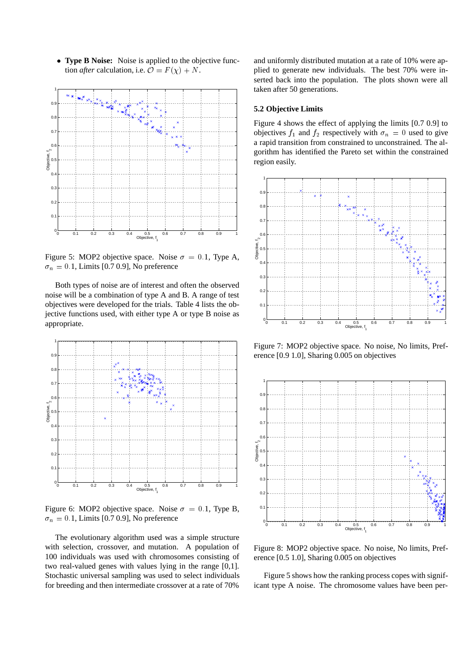**Type B Noise:** Noise is applied to the objective function *after* calculation, i.e.  $\mathcal{O} = F(\chi) + N$ .



Figure 5: MOP2 objective space. Noise  $\sigma = 0.1$ , Type A,  $\sigma_n = 0.1$ , Limits [0.7 0.9], No preference

Both types of noise are of interest and often the observed noise will be a combination of type A and B. A range of test objectives were developed for the trials. Table 4 lists the objective functions used, with either type A or type B noise as appropriate.



Figure 6: MOP2 objective space. Noise  $\sigma = 0.1$ , Type B,  $\sigma_n = 0.1$ , Limits [0.7 0.9], No preference

The evolutionary algorithm used was a simple structure with selection, crossover, and mutation. A population of 100 individuals was used with chromosomes consisting of two real-valued genes with values lying in the range [0,1]. Stochastic universal sampling was used to select individuals for breeding and then intermediate crossover at a rate of 70%

and uniformly distributed mutation at a rate of 10% were applied to generate new individuals. The best 70% were inserted back into the population. The plots shown were all taken after 50 generations.

### **5.2 Objective Limits**

Figure 4 shows the effect of applying the limits [0.7 0.9] to objectives  $f_1$  and  $f_2$  respectively with  $\sigma_n = 0$  used to give a rapid transition from constrained to unconstrained. The algorithm has identified the Pareto set within the constrained region easily.



Figure 7: MOP2 objective space. No noise, No limits, Preference [0.9 1.0], Sharing 0.005 on objectives



Figure 8: MOP2 objective space. No noise, No limits, Preference [0.5 1.0], Sharing 0.005 on objectives

Figure 5 shows how the ranking process copes with significant type A noise. The chromosome values have been per-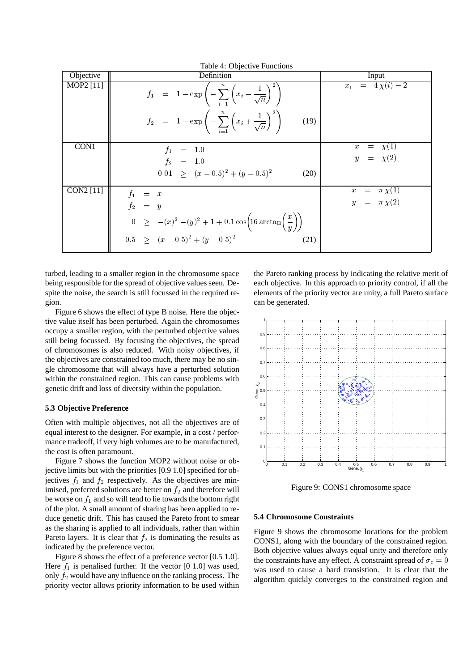|           | Table 4: Objective Functions                                                               |                                 |
|-----------|--------------------------------------------------------------------------------------------|---------------------------------|
| Objective | Definition                                                                                 | Input                           |
| MOP2 [11] | $f_1 = 1 - \exp\left(-\sum_{i=1}^{n} \left(x_i - \frac{1}{\sqrt{n}}\right)^2\right)$       | $= 4 \chi(i) - 2$<br>$x_i$      |
|           | $f_2 = 1 - \exp\left(-\sum_{i=1}^n \left(x_i + \frac{1}{\sqrt{n}}\right)^2\right)$<br>(19) |                                 |
| CON1      | $= 1.0$                                                                                    | $-\chi(1)$<br>$=$               |
|           | $f_2 = 1.0$                                                                                | $= \chi(2)$<br>$\boldsymbol{y}$ |
|           | $0.01 \ge (x-0.5)^2 + (y-0.5)^2$<br>(20)                                                   |                                 |
| CON2 [11] |                                                                                            | $-\pi\,\chi(1)$                 |
|           | $\begin{array}{rcl} f_1 & = \\ f_2 & = \end{array}$<br>$= y$                               | $=$ $\pi \chi(2)$<br>y          |
|           | $0 \ge -(x)^2 - (y)^2 + 1 + 0.1 \cos\left(16 \arctan\left(\frac{x}{y}\right)\right)$       |                                 |
|           | $0.5 \ge (x-0.5)^2 + (y-0.5)^2$<br>(21)                                                    |                                 |

turbed, leading to a smaller region in the chromosome space being responsible for the spread of objective values seen. Despite the noise, the search is still focussed in the required region.

Figure 6 shows the effect of type B noise. Here the objective value itself has been perturbed. Again the chromosomes occupy a smaller region, with the perturbed objective values still being focussed. By focusing the objectives, the spread of chromosomes is also reduced. With noisy objectives, if the objectives are constrained too much, there may be no single chromosome that will always have a perturbed solution within the constrained region. This can cause problems with genetic drift and loss of diversity within the population.

### **5.3 Objective Preference**

Often with multiple objectives, not all the objectives are of equal interest to the designer. For example, in a cost / performance tradeoff, if very high volumes are to be manufactured, the cost is often paramount.

Figure 7 shows the function MOP2 without noise or objective limits but with the priorities [0.9 1.0] specified for objectives  $f_1$  and  $f_2$  respectively. As the objectives are minimised, preferred solutions are better on  $f_2$  and therefore will be worse on  $f_1$  and so will tend to lie towards the bottom right of the plot. A small amount of sharing has been applied to reduce genetic drift. This has caused the Pareto front to smear as the sharing is applied to all individuals, rather than within Pareto layers. It is clear that  $f_2$  is dominating the results as indicated by the preference vector.

Figure 8 shows the effect of a preference vector [0.5 1.0]. Here  $f_1$  is penalised further. If the vector [0 1.0] was used, only  $f_2$  would have any influence on the ranking process. The priority vector allows priority information to be used within

the Pareto ranking process by indicating the relative merit of each objective. In this approach to priority control, if all the elements of the priority vector are unity, a full Pareto surface can be generated.



Figure 9: CONS1 chromosome space

## **5.4 Chromosome Constraints**

Figure 9 shows the chromosome locations for the problem CONS1, along with the boundary of the constrained region. Both objective values always equal unity and therefore only the constraints have any effect. A constraint spread of  $\sigma_c = 0$ was used to cause a hard transistion. It is clear that the algorithm quickly converges to the constrained region and